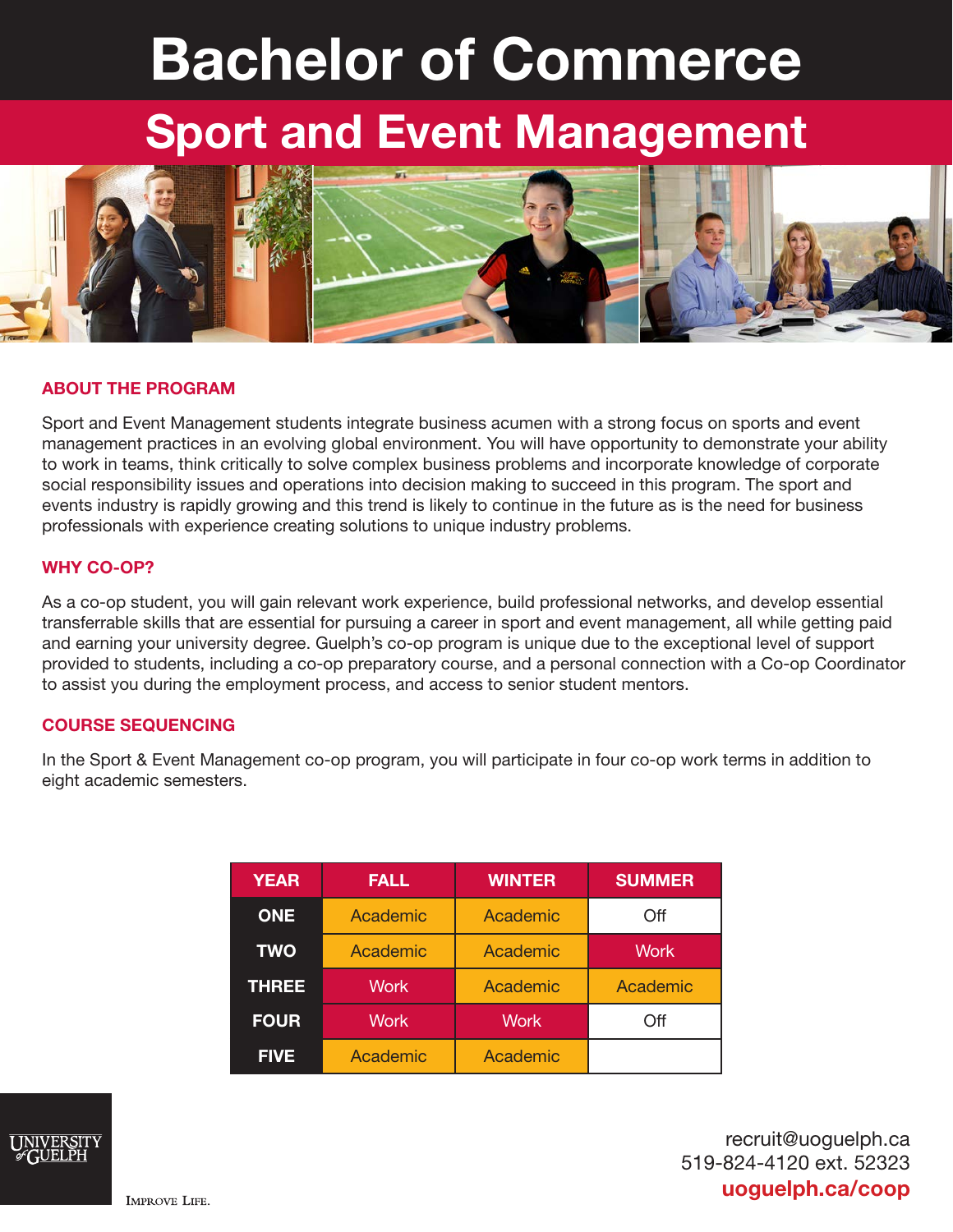# Bachelor of Commerce

## Sport and Event Management



#### ABOUT THE PROGRAM

Sport and Event Management students integrate business acumen with a strong focus on sports and event management practices in an evolving global environment. You will have opportunity to demonstrate your ability to work in teams, think critically to solve complex business problems and incorporate knowledge of corporate social responsibility issues and operations into decision making to succeed in this program. The sport and events industry is rapidly growing and this trend is likely to continue in the future as is the need for business professionals with experience creating solutions to unique industry problems.

#### WHY CO-OP?

As a co-op student, you will gain relevant work experience, build professional networks, and develop essential transferrable skills that are essential for pursuing a career in sport and event management, all while getting paid and earning your university degree. Guelph's co-op program is unique due to the exceptional level of support provided to students, including a co-op preparatory course, and a personal connection with a Co-op Coordinator to assist you during the employment process, and access to senior student mentors.

#### COURSE SEQUENCING

In the Sport & Event Management co-op program, you will participate in four co-op work terms in addition to eight academic semesters.

| <b>YEAR</b>  | <b>FALL</b> | <b>WINTER</b> | <b>SUMMER</b> |
|--------------|-------------|---------------|---------------|
| <b>ONE</b>   | Academic    | Academic      | Off           |
| <b>TWO</b>   | Academic    | Academic      | <b>Work</b>   |
| <b>THREE</b> | <b>Work</b> | Academic      | Academic      |
| <b>FOUR</b>  | <b>Work</b> | <b>Work</b>   | Off           |
| <b>FIVE</b>  | Academic    | Academic      |               |



recruit@uoguelph.ca 519-824-4120 ext. 52323 uoguelph.ca/coop